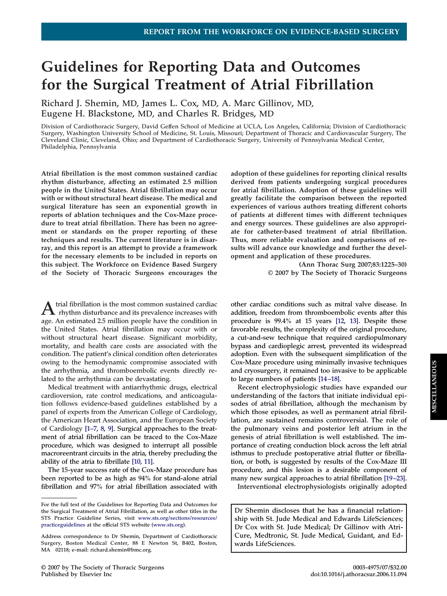## **Guidelines for Reporting Data and Outcomes for the Surgical Treatment of Atrial Fibrillation**

**Richard J. Shemin, MD, James L. Cox, MD, A. Marc Gillinov, MD, Eugene H. Blackstone, MD, and Charles R. Bridges, MD**

**Division of Cardiothoracic Surgery, David Geffen School of Medicine at UCLA, Los Angeles, California; Division of Cardiothoracic Surgery, Washington University School of Medicine, St. Louis, Missouri; Department of Thoracic and Cardiovascular Surgery, The Cleveland Clinic, Cleveland, Ohio; and Department of Cardiothoracic Surgery, University of Pennsylvania Medical Center, Philadelphia, Pennsylvania**

**Atrial fibrillation is the most common sustained cardiac rhythm disturbance, affecting an estimated 2.5 million people in the United States. Atrial fibrillation may occur with or without structural heart disease. The medical and surgical literature has seen an exponential growth in reports of ablation techniques and the Cox-Maze procedure to treat atrial fibrillation. There has been no agreement or standards on the proper reporting of these techniques and results. The current literature is in disarray, and this report is an attempt to provide a framework for the necessary elements to be included in reports on this subject. The Workforce on Evidence Based Surgery of the Society of Thoracic Surgeons encourages the**

**Atrial fibrillation is the most common sustained cardiac rhythm disturbance and its prevalence increases with age. An estimated 2.5 million people have the condition in the United States. Atrial fibrillation may occur with or without structural heart disease. Significant morbidity, mortality, and health care costs are associated with the condition. The patient's clinical condition often deteriorates owing to the hemodynamic compromise associated with the arrhythmia, and thromboembolic events directly related to the arrhythmia can be devastating.**

**Medical treatment with antiarrhythmic drugs, electrical cardioversion, rate control medications, and anticoagulation follows evidence-based guidelines established by a panel of experts from the American College of Cardiology, the American Heart Association, and the European Society of Cardiology [\[1–7, 8, 9\].](#page-5-0) Surgical approaches to the treatment of atrial fibrillation can be traced to the Cox-Maze procedure, which was designed to interrupt all possible macroreentrant circuits in the atria, thereby precluding the ability of the atria to fibrillate [\[10, 11\].](#page-5-0)**

**The 15-year success rate of the Cox-Maze procedure has been reported to be as high as 94% for stand-alone atrial fibrillation and 97% for atrial fibrillation associated with**

**adoption of these guidelines for reporting clinical results derived from patients undergoing surgical procedures for atrial fibrillation. Adoption of these guidelines will greatly facilitate the comparison between the reported experiences of various authors treating different cohorts of patients at different times with different techniques and energy sources. These guidelines are also appropriate for catheter-based treatment of atrial fibrillation. Thus, more reliable evaluation and comparisons of results will advance our knowledge and further the development and application of these procedures.**

> **(Ann Thorac Surg 2007;83:1225–30) © 2007 by The Society of Thoracic Surgeons**

**other cardiac conditions such as mitral valve disease. In addition, freedom from thromboembolic events after this procedure is 99.4% at 15 years [\[12, 13\].](#page-5-0) Despite these favorable results, the complexity of the original procedure, a cut-and-sew technique that required cardiopulmonary bypass and cardioplegic arrest, prevented its widespread adoption. Even with the subsequent simplification of the Cox-Maze procedure using minimally invasive techniques and cryosurgery, it remained too invasive to be applicable to large numbers of patients [\[14 –18\].](#page-5-0)**

**Recent electrophysiologic studies have expanded our understanding of the factors that initiate individual episodes of atrial fibrillation, although the mechanism by which those episodes, as well as permanent atrial fibrillation, are sustained remains controversial. The role of the pulmonary veins and posterior left atrium in the genesis of atrial fibrillation is well established. The importance of creating conduction block across the left atrial isthmus to preclude postoperative atrial flutter or fibrillation, or both, is suggested by results of the Cox-Maze III procedure, and this lesion is a desirable component of many new surgical approaches to atrial fibrillation [\[19 –23\].](#page-5-0)**

**Interventional electrophysiologists originally adopted**

**Dr Shemin discloses that he has a financial relationship with St. Jude Medical and Edwards LifeSciences; Dr Cox with St. Jude Medical; Dr Gillinov with Atri-Cure, Medtronic, St. Jude Medical, Guidant, and Edwards LifeSciences.**

**For the full text of the Guidelines for Reporting Data and Outcomes for the Surgical Treatment of Atrial Fibrillation, as well as other titles in the STS Practice Guideline Series, visit [www.sts.org/sections/resources/](http://www.sts.org/sections/resources/practiceguidelines) [practiceguidelines](http://www.sts.org/sections/resources/practiceguidelines) at the official STS website [\(www.sts.org\)](http://www.sts.org).**

**Address correspondence to Dr Shemin, Department of Cardiothoracic Surgery, Boston Medical Center, 88 E Newton St, B402, Boston, MA 02118; e-mail: richard.shemin@bmc.org.**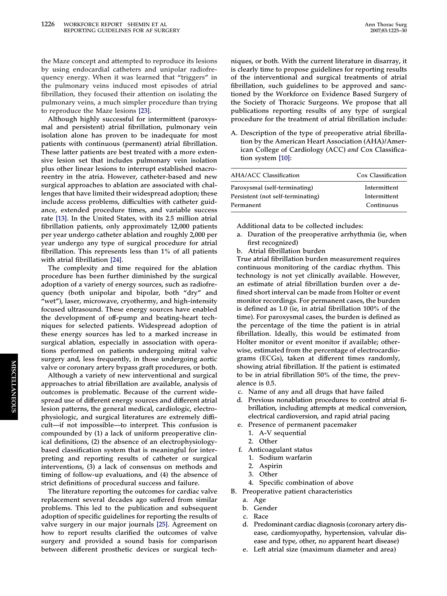**the Maze concept and attempted to reproduce its lesions by using endocardial catheters and unipolar radiofrequency energy. When it was learned that "triggers" in the pulmonary veins induced most episodes of atrial fibrillation, they focused their attention on isolating the pulmonary veins, a much simpler procedure than trying to reproduce the Maze lesions [\[23\].](#page-5-0)**

**Although highly successful for intermittent (paroxysmal and persistent) atrial fibrillation, pulmonary vein isolation alone has proven to be inadequate for most patients with continuous (permanent) atrial fibrillation. These latter patients are best treated with a more extensive lesion set that includes pulmonary vein isolation plus other linear lesions to interrupt established macroreentry in the atria. However, catheter-based and new surgical approaches to ablation are associated with challenges that have limited their widespread adoption; these include access problems, difficulties with catheter guidance, extended procedure times, and variable success rate [\[13\].](#page-5-0) In the United States, with its 2.5 million atrial fibrillation patients, only approximately 12,000 patients per year undergo catheter ablation and roughly 2,000 per year undergo any type of surgical procedure for atrial fibrillation. This represents less than 1% of all patients with atrial fibrillation [\[24\].](#page-5-0)**

**The complexity and time required for the ablation procedure has been further diminished by the surgical adoption of a variety of energy sources, such as radiofrequency (both unipolar and bipolar, both "dry" and "wet"), laser, microwave, cryothermy, and high-intensity focused ultrasound. These energy sources have enabled the development of off-pump and beating-heart techniques for selected patients. Widespread adoption of these energy sources has led to a marked increase in surgical ablation, especially in association with operations performed on patients undergoing mitral valve surgery and, less frequently, in those undergoing aortic valve or coronary artery bypass graft procedures, or both.**

**Although a variety of new interventional and surgical approaches to atrial fibrillation are available, analysis of outcomes is problematic. Because of the current widespread use of different energy sources and different atrial lesion patterns, the general medical, cardiologic, electrophysiologic, and surgical literatures are extremely difficult—if not impossible—to interpret. This confusion is compounded by (1) a lack of uniform preoperative clinical definitions, (2) the absence of an electrophysiologybased classification system that is meaningful for interpreting and reporting results of catheter or surgical interventions, (3) a lack of consensus on methods and timing of follow-up evaluations, and (4) the absence of strict definitions of procedural success and failure.**

**The literature reporting the outcomes for cardiac valve replacement several decades ago suffered from similar problems. This led to the publication and subsequent adoption of specific guidelines for reporting the results of valve surgery in our major journals [\[25\].](#page-5-0) Agreement on how to report results clarified the outcomes of valve surgery and provided a sound basis for comparison between different prosthetic devices or surgical tech-** **niques, or both. With the current literature in disarray, it is clearly time to propose guidelines for reporting results of the interventional and surgical treatments of atrial fibrillation, such guidelines to be approved and sanctioned by the Workforce on Evidence Based Surgery of the Society of Thoracic Surgeons. We propose that all publications reporting results of any type of surgical procedure for the treatment of atrial fibrillation include:**

**A. Description of the type of preoperative atrial fibrillation by the American Heart Association (AHA)/American College of Cardiology (ACC)** *and* **Cox Classification system [\[10\]:](#page-5-0)**

| Cox Classification |
|--------------------|
| Intermittent       |
| Intermittent       |
| Continuous         |
|                    |

**Additional data to be collected includes:**

- **a. Duration of the preoperative arrhythmia (ie, when first recognized)**
- **b. Atrial fibrillation burden**

**True atrial fibrillation burden measurement requires continuous monitoring of the cardiac rhythm. This technology is not yet clinically available. However, an estimate of atrial fibrillation burden over a defined short interval can be made from Holter or event monitor recordings. For permanent cases, the burden is defined as 1.0 (ie, in atrial fibrillation 100% of the time). For paroxysmal cases, the burden is defined as the percentage of the time the patient is in atrial fibrillation. Ideally, this would be estimated from Holter monitor or event monitor if available; otherwise, estimated from the percentage of electrocardiograms (ECGs), taken at different times randomly, showing atrial fibrillation. If the patient is estimated to be in atrial fibrillation 50% of the time, the prevalence is 0.5.**

- **c. Name of any and all drugs that have failed**
- **d. Previous nonablation procedures to control atrial fibrillation, including attempts at medical conversion, electrical cardioversion, and rapid atrial pacing**
- **e. Presence of permanent pacemaker**
	- **1. A-V sequential**
	- **2. Other**
- **f. Anticoagulant status**
	- **1. Sodium warfarin**
	- **2. Aspirin**
	- **3. Other**
- **4. Specific combination of above**
- **B. Preoperative patient characteristics**
	- **a. Age**
	- **b. Gender**
	- **c. Race d. Predominant cardiac diagnosis (coronary artery disease, cardiomyopathy, hypertension, valvular disease and type, other, no apparent heart disease)**
	- **e. Left atrial size (maximum diameter and area)**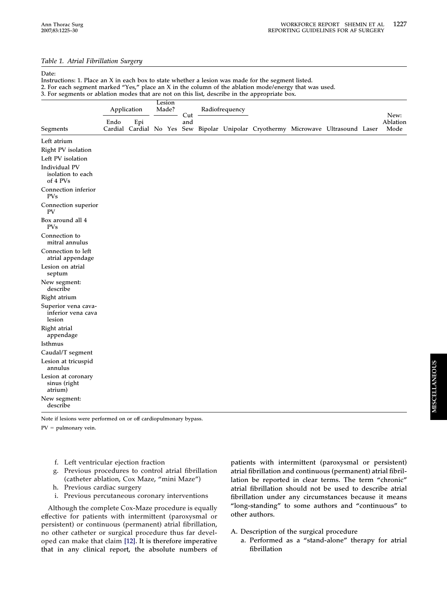## <span id="page-2-0"></span>*Table 1. Atrial Fibrillation Surgery*

| Date:                                                                                                 |  |
|-------------------------------------------------------------------------------------------------------|--|
| Instructions: 1. Place an X in each box to state whether a lesion was made for the segment listed.    |  |
| 2. For each segment marked "Yes," place an X in the column of the ablation mode/energy that was used. |  |
| 3. For segments or ablation modes that are not on this list, describe in the appropriate box.         |  |
|                                                                                                       |  |

|                                                     |      | Application | Lesion<br>Made? | Cut | Radiofrequency |  |                                                                                   |  | New:             |
|-----------------------------------------------------|------|-------------|-----------------|-----|----------------|--|-----------------------------------------------------------------------------------|--|------------------|
| Segments                                            | Endo | Epi         |                 | and |                |  | Cardial Cardial No Yes Sew Bipolar Unipolar Cryothermy Microwave Ultrasound Laser |  | Ablation<br>Mode |
| Left atrium<br>Right PV isolation                   |      |             |                 |     |                |  |                                                                                   |  |                  |
| Left PV isolation                                   |      |             |                 |     |                |  |                                                                                   |  |                  |
| Individual PV<br>isolation to each<br>of 4 PVs      |      |             |                 |     |                |  |                                                                                   |  |                  |
| Connection inferior<br><b>PVs</b>                   |      |             |                 |     |                |  |                                                                                   |  |                  |
| Connection superior<br><b>PV</b>                    |      |             |                 |     |                |  |                                                                                   |  |                  |
| Box around all 4<br><b>PVs</b>                      |      |             |                 |     |                |  |                                                                                   |  |                  |
| Connection to<br>mitral annulus                     |      |             |                 |     |                |  |                                                                                   |  |                  |
| Connection to left<br>atrial appendage              |      |             |                 |     |                |  |                                                                                   |  |                  |
| Lesion on atrial<br>septum                          |      |             |                 |     |                |  |                                                                                   |  |                  |
| New segment:<br>describe                            |      |             |                 |     |                |  |                                                                                   |  |                  |
| Right atrium                                        |      |             |                 |     |                |  |                                                                                   |  |                  |
| Superior vena cava-<br>inferior vena cava<br>lesion |      |             |                 |     |                |  |                                                                                   |  |                  |
| Right atrial<br>appendage                           |      |             |                 |     |                |  |                                                                                   |  |                  |
| Isthmus                                             |      |             |                 |     |                |  |                                                                                   |  |                  |
| Caudal/T segment                                    |      |             |                 |     |                |  |                                                                                   |  |                  |
| Lesion at tricuspid<br>annulus                      |      |             |                 |     |                |  |                                                                                   |  |                  |
| Lesion at coronary<br>sinus (right<br>atrium)       |      |             |                 |     |                |  |                                                                                   |  |                  |
| New segment:<br>describe                            |      |             |                 |     |                |  |                                                                                   |  |                  |

**Note if lesions were performed on or off cardiopulmonary bypass.**

**PV pulmonary vein.**

- **f. Left ventricular ejection fraction**
- **g. Previous procedures to control atrial fibrillation (catheter ablation, Cox Maze, "mini Maze")**
- **h. Previous cardiac surgery**
- **i. Previous percutaneous coronary interventions**

**Although the complete Cox-Maze procedure is equally effective for patients with intermittent (paroxysmal or persistent) or continuous (permanent) atrial fibrillation, no other catheter or surgical procedure thus far developed can make that claim [\[12\].](#page-5-0) It is therefore imperative that in any clinical report, the absolute numbers of** **patients with intermittent (paroxysmal or persistent) atrial fibrillation and continuous (permanent) atrial fibrillation be reported in clear terms. The term "chronic" atrial fibrillation should not be used to describe atrial fibrillation under any circumstances because it means "long-standing" to some authors and "continuous" to other authors.**

- **A. Description of the surgical procedure**
	- **a. Performed as a "stand-alone" therapy for atrial fibrillation**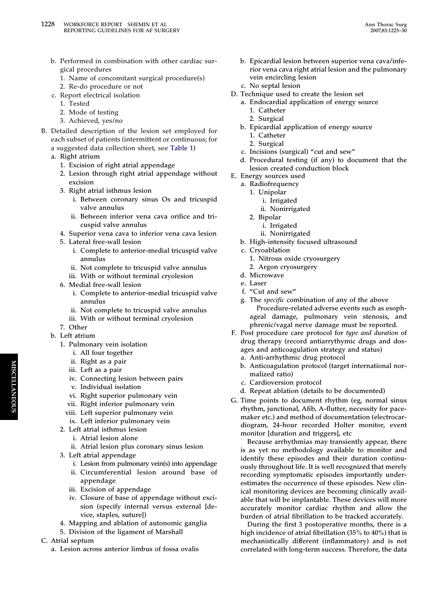- **b. Performed in combination with other cardiac surgical procedures**
	- **1. Name of concomitant surgical procedure(s)**
	- **2. Re-do procedure or not**
- **c. Report electrical isolation**
	- **1. Tested**
	- **2. Mode of testing**
	- **3. Achieved, yes/no**
- **B. Detailed description of the lesion set employed for each subset of patients (intermittent or continuous; for a suggested data collection sheet, see [Table 1\)](#page-2-0)**
	-
	- **a. Right atrium**
		- **1. Excision of right atrial appendage**
		- **2. Lesion through right atrial appendage without excision**
		- **3. Right atrial isthmus lesion**
			- **i. Between coronary sinus Os and tricuspid valve annulus**
			- **ii. Between inferior vena cava orifice and tricuspid valve annulus**
		- **4. Superior vena cava to inferior vena cava lesion**
		- **5. Lateral free-wall lesion**
			- **i. Complete to anterior-medial tricuspid valve annulus**
			- **ii. Not complete to tricuspid valve annulus**
			- **iii. With or without terminal cryolesion**
		- **6. Medial free-wall lesion**
			- **i. Complete to anterior-medial tricuspid valve annulus**
			- **ii. Not complete to tricuspid valve annulus**
			- **iii. With or without terminal cryolesion**
	- **7. Other**
	- **b. Left atrium**
		- **1. Pulmonary vein isolation**
			- **i. All four together**
			- **ii. Right as a pair**
			- **iii. Left as a pair**
			- **iv. Connecting lesion between pairs**
			- **v. Individual isolation**
			- **vi. Right superior pulmonary vein**
			- **vii. Right inferior pulmonary vein**
			- **viii. Left superior pulmonary vein**
			- **ix. Left inferior pulmonary vein**
		- **2. Left atrial isthmus lesion**
			- **i. Atrial lesion alone**
			- **ii. Atrial lesion plus coronary sinus lesion**
		- **3. Left atrial appendage**
			- **i. Lesion from pulmonary vein(s) into appendage**
			- **ii. Circumferential lesion around base of appendage**
			- **iii. Excision of appendage**
			- **iv. Closure of base of appendage without excision (specify internal versus external [device, staples, suture])**
		- **4. Mapping and ablation of autonomic ganglia**
		- **5. Division of the ligament of Marshall**
- **C. Atrial septum**
	- **a. Lesion across anterior limbus of fossa ovalis**
- **b. Epicardial lesion between superior vena cava/inferior vena cava right atrial lesion and the pulmonary vein encircling lesion**
- **c. No septal lesion**
- **D. Technique used to create the lesion set**
	- **a. Endocardial application of energy source**
		- **1. Catheter**
		- **2. Surgical**
	- **b. Epicardial application of energy source**
		- **1. Catheter**
		- **2. Surgical**
	- **c. Incisions (surgical) "cut and sew"**
	- **d. Procedural testing (if any) to document that the lesion created conduction block**
- **E. Energy sources used**
	- **a. Radiofrequency**
		- **1. Unipolar**
			- **i. Irrigated**
				- **ii. Nonirrigated**
		- **2. Bipolar**
			- **i. Irrigated**
			- **ii. Nonirrigated**
	- **b. High-intensity focused ultrasound**
	- **c. Cryoablation**
		- **1. Nitrous oxide cryosurgery**
		- **2. Argon cryosurgery**
	- **d. Microwave**
	- **e. Laser**
	- **f. "Cut and sew"**
	- **g. The** *specific* **combination of any of the above Procedure-related adverse events such as esophageal damage, pulmonary vein stenosis, and phrenic/vagal nerve damage must be reported.**
- **F. Post procedure care protocol for** *type and duration* **of drug therapy (record antiarrythymic drugs and dosages and anticoagulation strategy and status) a. Anti-arrhythmic drug protocol**
	-
	- **b. Anticoagulation protocol (target international normalized ratio)**
	- **c. Cardioversion protocol**
	- **d. Repeat ablation (details to be documented)**
- **G. Time points to document rhythm (eg, normal sinus rhythm, junctional, Afib, A-flutter, necessity for pacemaker etc.) and method of documentation (electrocardiogram, 24-hour recorded Holter monitor, event monitor [duration and triggers], etc**

**Because arrhythmias may transiently appear, there is as yet no methodology available to monitor and identify these episodes and their duration continuously throughout life. It is well recognized that merely recording symptomatic episodes importantly underestimates the occurrence of these episodes. New clinical monitoring devices are becoming clinically available that will be implantable. These devices will more accurately monitor cardiac rhythm and allow the burden of atrial fibrillation to be tracked accurately.**

**During the first 3 postoperative months, there is a high incidence of atrial fibrillation (35% to 40%) that is mechanistically different (inflammatory) and is not correlated with long-term success. Therefore, the data**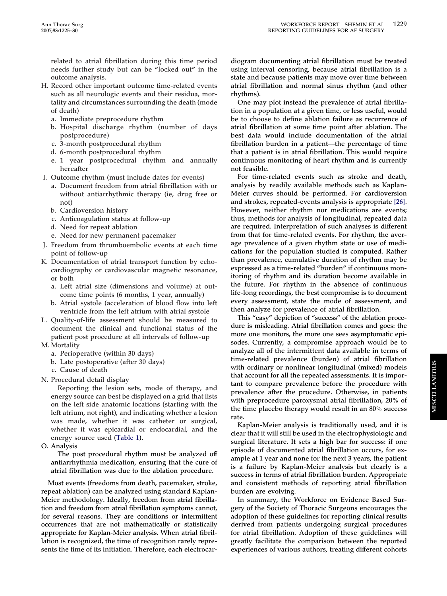**related to atrial fibrillation during this time period needs further study but can be "locked out" in the outcome analysis.**

- **H. Record other important outcome time-related events such as all neurologic events and their residua, mortality and circumstances surrounding the death (mode of death)**
	- **a. Immediate preprocedure rhythm**
	- **b. Hospital discharge rhythm (number of days postprocedure)**
	- **c. 3-month postprocedural rhythm**
	- **d. 6-month postprocedural rhythm**
	- **e. 1 year postprocedural rhythm and annually hereafter**
- **I. Outcome rhythm (must include dates for events)**
	- **a. Document freedom from atrial fibrillation with or without antiarrhythmic therapy (ie, drug free or not)**
	- **b. Cardioversion history**
	- **c. Anticoagulation status at follow-up**
	- **d. Need for repeat ablation**
	- **e. Need for new permanent pacemaker**
- **J. Freedom from thromboembolic events at each time point of follow-up**
- **K. Documentation of atrial transport function by echocardiography or cardiovascular magnetic resonance, or both**
	- **a. Left atrial size (dimensions and volume) at outcome time points (6 months, 1 year, annually)**
	- **b. Atrial systole (acceleration of blood flow into left ventricle from the left atrium with atrial systole**
- **L. Quality-of-life assessment should be measured to document the clinical and functional status of the patient post procedure at all intervals of follow-up**
- **M. Mortality**
	- **a. Perioperative (within 30 days)**
	- **b. Late postoperative (after 30 days)**
	- **c. Cause of death**
- **N. Procedural detail display**

**Reporting the lesion sets, mode of therapy, and energy source can best be displayed on a grid that lists on the left side anatomic locations (starting with the left atrium, not right), and indicating whether a lesion was made, whether it was catheter or surgical, whether it was epicardial or endocardial, and the energy source used [\(Table 1\)](#page-2-0).**

**O. Analysis**

**The post procedural rhythm must be analyzed off antiarrhythmia medication, ensuring that the cure of atrial fibrillation was due to the ablation procedure.**

**Most events (freedoms from death, pacemaker, stroke, repeat ablation) can be analyzed using standard Kaplan-Meier methodology. Ideally, freedom from atrial fibrillation and freedom from atrial fibrillation symptoms cannot, for several reasons. They are conditions or intermittent occurrences that are not mathematically or statistically appropriate for Kaplan-Meier analysis. When atrial fibrillation is recognized, the time of recognition rarely represents the time of its initiation. Therefore, each electrocar-** **diogram documenting atrial fibrillation must be treated using interval censoring, because atrial fibrillation is a state and because patients may move over time between atrial fibrillation and normal sinus rhythm (and other rhythms).**

**One may plot instead the prevalence of atrial fibrillation in a population at a given time, or less useful, would be to choose to define ablation failure as recurrence of atrial fibrillation at some time point after ablation. The best data would include documentation of the atrial fibrillation burden in a patient—the percentage of time that a patient is in atrial fibrillation. This would require continuous monitoring of heart rhythm and is currently not feasible.**

**For time-related events such as stroke and death, analysis by readily available methods such as Kaplan-Meier curves should be performed. For cardioversion and strokes, repeated-events analysis is appropriate [\[26\].](#page-5-0) However, neither rhythm nor medications are events; thus, methods for analysis of longitudinal, repeated data are required. Interpretation of such analyses is different from that for time-related events. For rhythm, the average prevalence of a given rhythm state or use of medications for the population studied is computed. Rather than prevalence, cumulative duration of rhythm may be expressed as a time-related "burden" if continuous monitoring of rhythm and its duration become available in the future. For rhythm in the absence of continuous life-long recordings, the best compromise is to document every assessment, state the mode of assessment, and then analyze for prevalence of atrial fibrillation.**

**This "easy" depiction of "success" of the ablation procedure is misleading. Atrial fibrillation comes and goes: the more one monitors, the more one sees asymptomatic episodes. Currently, a compromise approach would be to analyze all of the intermittent data available in terms of time-related prevalence (burden) of atrial fibrillation with ordinary or nonlinear longitudinal (mixed) models that account for all the repeated assessments. It is important to compare prevalence before the procedure with prevalence after the procedure. Otherwise, in patients with preprocedure paroxysmal atrial fibrillation, 20% of the time placebo therapy would result in an 80% success rate.**

**Kaplan-Meier analysis is traditionally used, and it is clear that it will still be used in the electrophysiologic and surgical literature. It sets a high bar for success: if one episode of documented atrial fibrillation occurs, for example at 1 year and none for the next 3 years, the patient is a failure by Kaplan-Meier analysis but clearly is a success in terms of atrial fibrillation burden. Appropriate and consistent methods of reporting atrial fibrillation burden are evolving.**

**In summary, the Workforce on Evidence Based Surgery of the Society of Thoracic Surgeons encourages the adoption of these guidelines for reporting clinical results derived from patients undergoing surgical procedures for atrial fibrillation. Adoption of these guidelines will greatly facilitate the comparison between the reported experiences of various authors, treating different cohorts**